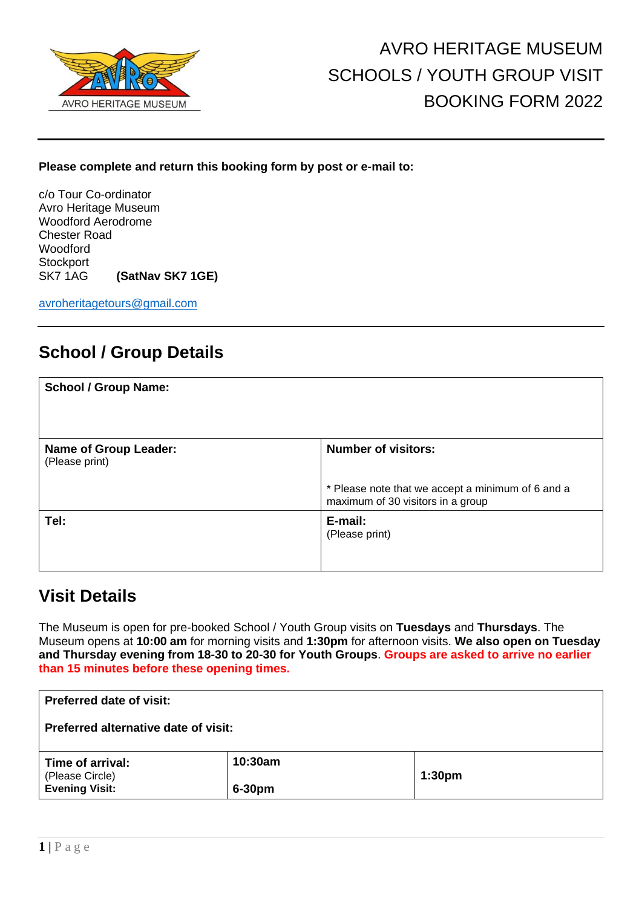

#### **Please complete and return this booking form by post or e-mail to:**

c/o Tour Co-ordinator Avro Heritage Museum Woodford Aerodrome Chester Road Woodford **Stockport** SK7 1AG **(SatNav SK7 1GE)**

[avroheritagetours@gmail.com](mailto:avroheritagetours@gmail.com)

## **School / Group Details**

| <b>School / Group Name:</b>                    |                                                                                        |
|------------------------------------------------|----------------------------------------------------------------------------------------|
| <b>Name of Group Leader:</b><br>(Please print) | <b>Number of visitors:</b>                                                             |
|                                                | * Please note that we accept a minimum of 6 and a<br>maximum of 30 visitors in a group |
| Tel:                                           | E-mail:<br>(Please print)                                                              |

### **Visit Details**

The Museum is open for pre-booked School / Youth Group visits on **Tuesdays** and **Thursdays**. The Museum opens at **10:00 am** for morning visits and **1:30pm** for afternoon visits. **We also open on Tuesday and Thursday evening from 18-30 to 20-30 for Youth Groups**. **Groups are asked to arrive no earlier than 15 minutes before these opening times.**

| <b>Preferred date of visit:</b>          |         |                    |  |
|------------------------------------------|---------|--------------------|--|
| Preferred alternative date of visit:     |         |                    |  |
| Time of arrival:                         | 10:30am |                    |  |
| (Please Circle)<br><b>Evening Visit:</b> | 6-30pm  | 1:30 <sub>pm</sub> |  |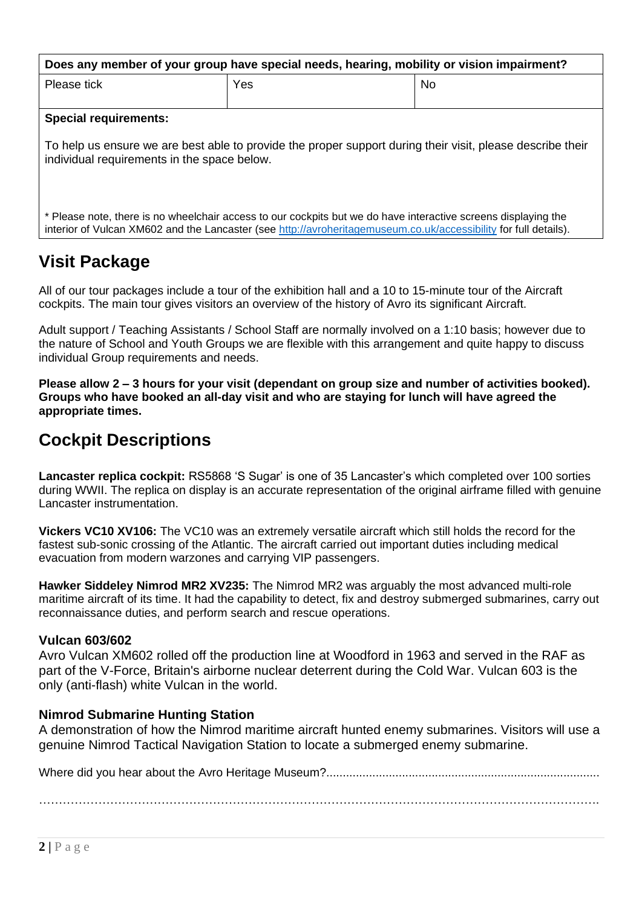| Does any member of your group have special needs, hearing, mobility or vision impairment?                                                                 |     |           |  |  |
|-----------------------------------------------------------------------------------------------------------------------------------------------------------|-----|-----------|--|--|
| Please tick                                                                                                                                               | Yes | <b>No</b> |  |  |
|                                                                                                                                                           |     |           |  |  |
| <b>Special requirements:</b>                                                                                                                              |     |           |  |  |
| To help us ensure we are best able to provide the proper support during their visit, please describe their<br>individual requirements in the space below. |     |           |  |  |

\* Please note, there is no wheelchair access to our cockpits but we do have interactive screens displaying the interior of Vulcan XM602 and the Lancaster (see [http://avroheritagemuseum.co.uk/accessibility](http://avroheritagemuseum.co.uk/accessibility/) for full details).

# **Visit Package**

All of our tour packages include a tour of the exhibition hall and a 10 to 15-minute tour of the Aircraft cockpits. The main tour gives visitors an overview of the history of Avro its significant Aircraft.

Adult support / Teaching Assistants / School Staff are normally involved on a 1:10 basis; however due to the nature of School and Youth Groups we are flexible with this arrangement and quite happy to discuss individual Group requirements and needs.

**Please allow 2 – 3 hours for your visit (dependant on group size and number of activities booked). Groups who have booked an all-day visit and who are staying for lunch will have agreed the appropriate times.** 

## **Cockpit Descriptions**

**Lancaster replica cockpit:** RS5868 'S Sugar' is one of 35 Lancaster's which completed over 100 sorties during WWII. The replica on display is an accurate representation of the original airframe filled with genuine Lancaster instrumentation.

**Vickers VC10 XV106:** The VC10 was an extremely versatile aircraft which still holds the record for the fastest sub-sonic crossing of the Atlantic. The aircraft carried out important duties including medical evacuation from modern warzones and carrying VIP passengers.

**Hawker Siddeley Nimrod MR2 XV235:** The Nimrod MR2 was arguably the most advanced multi-role maritime aircraft of its time. It had the capability to detect, fix and destroy submerged submarines, carry out reconnaissance duties, and perform search and rescue operations.

#### **Vulcan 603/602**

Avro Vulcan XM602 rolled off the production line at Woodford in 1963 and served in the RAF as part of the V-Force, Britain's airborne nuclear deterrent during the Cold War. Vulcan 603 is the only (anti-flash) white Vulcan in the world.

#### **Nimrod Submarine Hunting Station**

A demonstration of how the Nimrod maritime aircraft hunted enemy submarines. Visitors will use a genuine Nimrod Tactical Navigation Station to locate a submerged enemy submarine.

Where did you hear about the Avro Heritage Museum?...................................................................................

…………………………………………………………………………………………………………………………….